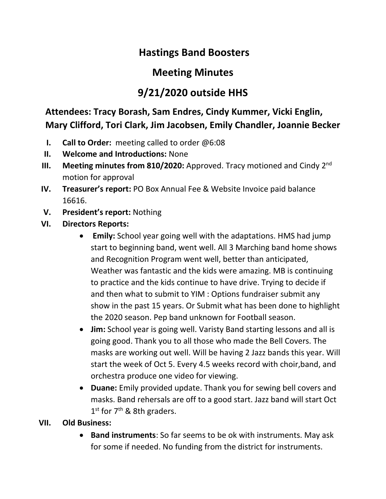# **Hastings Band Boosters**

# **Meeting Minutes**

# **9/21/2020 outside HHS**

### **Attendees: Tracy Borash, Sam Endres, Cindy Kummer, Vicki Englin, Mary Clifford, Tori Clark, Jim Jacobsen, Emily Chandler, Joannie Becker**

- **I. Call to Order:** meeting called to order @6:08
- **II. Welcome and Introductions:** None
- **III.** Meeting minutes from 810/2020: Approved. Tracy motioned and Cindy 2<sup>nd</sup> motion for approval
- **IV. Treasurer's report:** PO Box Annual Fee & Website Invoice paid balance 16616.
- **V. President's report:** Nothing
- **VI. Directors Reports:** 
	- **Emily:** School year going well with the adaptations. HMS had jump start to beginning band, went well. All 3 Marching band home shows and Recognition Program went well, better than anticipated, Weather was fantastic and the kids were amazing. MB is continuing to practice and the kids continue to have drive. Trying to decide if and then what to submit to YIM : Options fundraiser submit any show in the past 15 years. Or Submit what has been done to highlight the 2020 season. Pep band unknown for Football season.
	- **Jim:** School year is going well. Varisty Band starting lessons and all is going good. Thank you to all those who made the Bell Covers. The masks are working out well. Will be having 2 Jazz bands this year. Will start the week of Oct 5. Every 4.5 weeks record with choir,band, and orchestra produce one video for viewing.
	- **Duane:** Emily provided update. Thank you for sewing bell covers and masks. Band rehersals are off to a good start. Jazz band will start Oct 1<sup>st</sup> for 7<sup>th</sup> & 8th graders.

### **VII. Old Business:**

• **Band instruments**: So far seems to be ok with instruments. May ask for some if needed. No funding from the district for instruments.